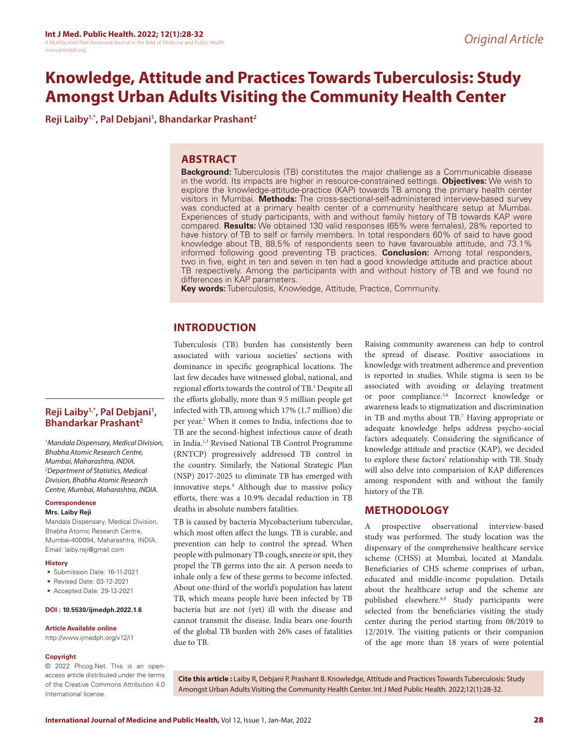# **Knowledge, Attitude and Practices Towards Tuberculosis: Study Amongst Urban Adults Visiting the Community Health Center**

**Reji Laiby1,\*, Pal Debjani1 , Bhandarkar Prashant2**

## **ABSTRACT**

**Background:** Tuberculosis (TB) constitutes the major challenge as a Communicable disease in the world. Its impacts are higher in resource-constrained settings. **Objectives:** We wish to explore the knowledge-attitude-practice (KAP) towards TB among the primary health center visitors in Mumbai. **Methods:** The cross-sectional-self-administered interview-based survey was conducted at a primary health center of a community healthcare setup at Mumbai. Experiences of study participants, with and without family history of TB towards KAP were compared. **Results:** We obtained 130 valid responses (65% were females), 28% reported to have history of TB to self or family members. In total responders 60% of said to have good knowledge about TB, 88.5% of respondents seen to have favarouable attitude, and 73.1% informed following good preventing TB practices. **Conclusion:** Among total responders, two in five, eight in ten and seven in ten had a good knowledge attitude and practice about TB respectively. Among the participants with and without history of TB and we found no differences in KAP parameters.

**Key words:** Tuberculosis, Knowledge, Attitude, Practice, Community.

# **INTRODUCTION**

Tuberculosis (TB) burden has consistently been associated with various societies' sections with dominance in specific geographical locations. The last few decades have witnessed global, national, and regional efforts towards the control of TB.<sup>1</sup> Despite all the efforts globally, more than 9.5 million people get infected with TB, among which 17% (1.7 million) die per year.<sup>2</sup> When it comes to India, infections due to TB are the second-highest infectious cause of death in India.1,3 Revised National TB Control Programme (RNTCP) progressively addressed TB control in the country. Similarly, the National Strategic Plan (NSP) 2017-2025 to eliminate TB has emerged with innovative steps.4 Although due to massive policy efforts, there was a 10.9% decadal reduction in TB deaths in absolute numbers fatalities.

TB is caused by bacteria Mycobacterium tuberculae, which most often affect the lungs. TB is curable, and prevention can help to control the spread. When people with pulmonary TB cough, sneeze or spit, they propel the TB germs into the air. A person needs to inhale only a few of these germs to become infected. About one-third of the world's population has latent TB, which means people have been infected by TB bacteria but are not (yet) ill with the disease and cannot transmit the disease. India bears one-fourth of the global TB burden with 26% cases of fatalities due to TB.

Raising community awareness can help to control the spread of disease. Positive associations in knowledge with treatment adherence and prevention is reported in studies. While stigma is seen to be associated with avoiding or delaying treatment or poor compliance.5,6 Incorrect knowledge or awareness leads to stigmatization and discrimination in TB and myths about TB.7 Having appropriate or adequate knowledge helps address psycho-social factors adequately. Considering the significance of knowledge attitude and practice (KAP), we decided to explore these factors' relationship with TB. Study will also delve into comparision of KAP differences among respondent with and without the family history of the TB.

# **METHODOLOGY**

A prospective observational interview-based study was performed. The study location was the dispensary of the comprehensive healthcare service scheme (CHSS) at Mumbai, located at Mandala. Beneficiaries of CHS scheme comprises of urban, educated and middle-income population. Details about the healthcare setup and the scheme are published elsewhere.<sup>8,9</sup> Study participants were selected from the beneficiaries visiting the study center during the period starting from 08/2019 to 12/2019. The visiting patients or their companion of the age more than 18 years of were potential

# **Reji Laiby1,\*, Pal Debjani1 , Bhandarkar Prashant2**

*1 Mandala Dispensary, Medical Division, Bhabha Atomic Research Centre, Mumbai, Maharashtra, INDIA. 2 Department of Statistics, Medical Division, Bhabha Atomic Research Centre, Mumbai, Maharashtra, INDIA.*

## **Correspondence**

#### **Mrs. Laiby Reji**

Mandala Dispensary, Medical Division, Bhabha Atomic Research Centre, Mumbai-400094, Maharashtra, INDIA. Email: laiby.reji@gmail.com

#### **History**

- Submission Date: 16-11-2021
- Revised Date: 03-12-2021
- Accepted Date: 29-12-2021

#### **DOI : 10.5530/ijmedph.2022.1.6**

#### **Article Available online**

http://www.ijmedph.org/v12/i1

#### **Copyright**

© 2022 Phcog.Net. This is an openaccess article distributed under the terms of the Creative Commons Attribution 4.0 International license.

**Cite this article :** Laiby R, Debjani P, Prashant B. Knowledge, Attitude and Practices Towards Tuberculosis: Study Amongst Urban Adults Visiting the Community Health Center. Int J Med Public Health. 2022;12(1):28-32.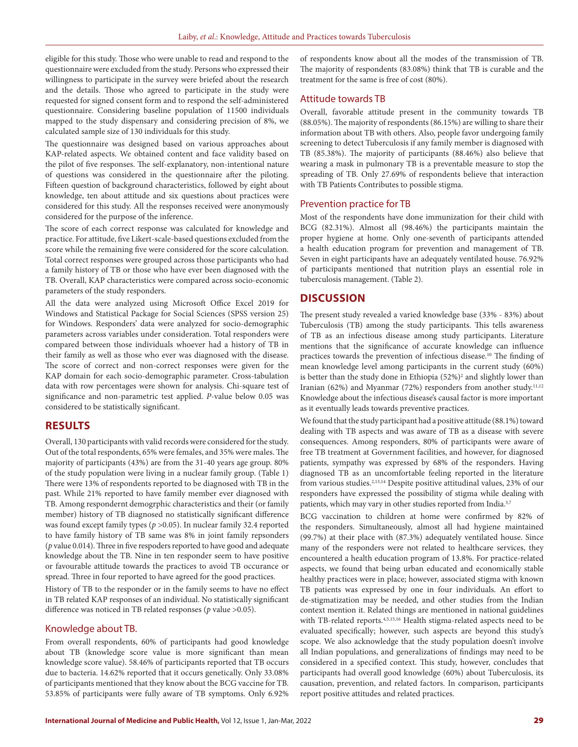eligible for this study. Those who were unable to read and respond to the questionnaire were excluded from the study. Persons who expressed their willingness to participate in the survey were briefed about the research and the details. Those who agreed to participate in the study were requested for signed consent form and to respond the self-administered questionnaire. Considering baseline population of 11500 individuals mapped to the study dispensary and considering precision of 8%, we calculated sample size of 130 individuals for this study.

The questionnaire was designed based on various approaches about KAP-related aspects. We obtained content and face validity based on the pilot of five responses. The self-explanatory, non-intentional nature of questions was considered in the questionnaire after the piloting. Fifteen question of background characteristics, followed by eight about knowledge, ten about attitude and six questions about practices were considered for this study. All the responses received were anonymously considered for the purpose of the inference.

The score of each correct response was calculated for knowledge and practice. For attitude, five Likert-scale-based questions excluded from the score while the remaining five were considered for the score calculation. Total correct responses were grouped across those participants who had a family history of TB or those who have ever been diagnosed with the TB. Overall, KAP characteristics were compared across socio-economic parameters of the study responders.

All the data were analyzed using Microsoft Office Excel 2019 for Windows and Statistical Package for Social Sciences (SPSS version 25) for Windows. Responders' data were analyzed for socio-demographic parameters across variables under consideration. Total responders were compared between those individuals whoever had a history of TB in their family as well as those who ever was diagnosed with the disease. The score of correct and non-correct responses were given for the KAP domain for each socio-demographic parameter. Cross-tabulation data with row percentages were shown for analysis. Chi-square test of significance and non-parametric test applied. *P*-value below 0.05 was considered to be statistically significant.

# **RESULTS**

Overall, 130 participants with valid records were considered for the study. Out of the total respondents, 65% were females, and 35% were males. The majority of participants (43%) are from the 31-40 years age group. 80% of the study population were living in a nuclear family group. (Table 1) There were 13% of respondents reported to be diagnosed with TB in the past. While 21% reported to have family member ever diagnosed with TB. Among respondernt demogrphic characteristics and their (or family member) history of TB diagnosed no statistically significant difference was found except family types (*p* >0.05). In nuclear family 32.4 reported to have family history of TB same was 8% in joint family repsonders (*p* value 0.014). Three in five respoders reported to have good and adequate knowledge about the TB. Nine in ten responder seem to have positive or favourable attitude towards the practices to avoid TB occurance or spread. Three in four reported to have agreed for the good practices.

History of TB to the responder or in the family seems to have no effect in TB related KAP responses of an individual. No statistically significant difference was noticed in TB related responses (*p* value >0.05).

## Knowledge about TB.

From overall respondents, 60% of participants had good knowledge about TB (knowledge score value is more significant than mean knowledge score value). 58.46% of participants reported that TB occurs due to bacteria. 14.62% reported that it occurs genetically. Only 33.08% of participants mentioned that they know about the BCG vaccine for TB. 53.85% of participants were fully aware of TB symptoms. Only 6.92% of respondents know about all the modes of the transmission of TB. The majority of respondents (83.08%) think that TB is curable and the treatment for the same is free of cost (80%).

## Attitude towards TB

Overall, favorable attitude present in the community towards TB (88.05%). The majority of respondents (86.15%) are willing to share their information about TB with others. Also, people favor undergoing family screening to detect Tuberculosis if any family member is diagnosed with TB (85.38%). The majority of participants (88.46%) also believe that wearing a mask in pulmonary TB is a preventable measure to stop the spreading of TB. Only 27.69% of respondents believe that interaction with TB Patients Contributes to possible stigma.

### Prevention practice for TB

Most of the respondents have done immunization for their child with BCG (82.31%). Almost all (98.46%) the participants maintain the proper hygiene at home. Only one-seventh of participants attended a health education program for prevention and management of TB. Seven in eight participants have an adequately ventilated house. 76.92% of participants mentioned that nutrition plays an essential role in tuberculosis management. (Table 2).

## **DISCUSSION**

The present study revealed a varied knowledge base (33% - 83%) about Tuberculosis (TB) among the study participants. This tells awareness of TB as an infectious disease among study participants. Literature mentions that the significance of accurate knowledge can influence practices towards the prevention of infectious disease.<sup>10</sup> The finding of mean knowledge level among participants in the current study (60%) is better than the study done in Ethiopia (52%)<sup>2</sup> and slightly lower than Iranian (62%) and Myanmar (72%) responders from another study.<sup>11,12</sup> Knowledge about the infectious disease's causal factor is more important as it eventually leads towards preventive practices.

We found that the study participant had a positive attitude (88.1%) toward dealing with TB aspects and was aware of TB as a disease with severe consequences. Among responders, 80% of participants were aware of free TB treatment at Government facilities, and however, for diagnosed patients, sympathy was expressed by 68% of the responders. Having diagnosed TB as an uncomfortable feeling reported in the literature from various studies.<sup>2,13,14</sup> Despite positive attitudinal values, 23% of our responders have expressed the possibility of stigma while dealing with patients, which may vary in other studies reported from India.<sup>5,7</sup>

BCG vaccination to children at home were confirmed by 82% of the responders. Simultaneously, almost all had hygiene maintained (99.7%) at their place with (87.3%) adequately ventilated house. Since many of the responders were not related to healthcare services, they encountered a health education program of 13.8%. For practice-related aspects, we found that being urban educated and economically stable healthy practices were in place; however, associated stigma with known TB patients was expressed by one in four individuals. An effort to de-stigmatization may be needed, and other studies from the Indian context mention it. Related things are mentioned in national guidelines with TB-related reports.<sup>4,5,15,16</sup> Health stigma-related aspects need to be evaluated specifically; however, such aspects are beyond this study's scope. We also acknowledge that the study population doesn't involve all Indian populations, and generalizations of findings may need to be considered in a specified context. This study, however, concludes that participants had overall good knowledge (60%) about Tuberculosis, its causation, prevention, and related factors. In comparison, participants report positive attitudes and related practices.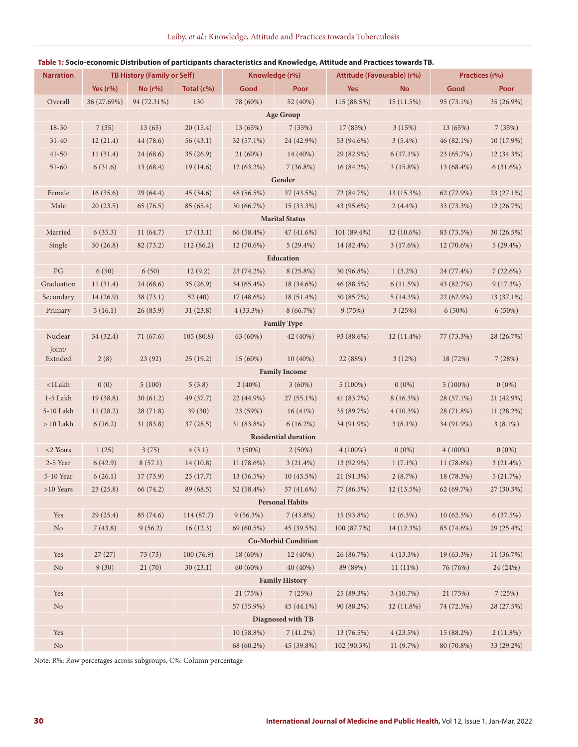| <b>Narration</b>           | TB History (Family or Self) |             |            | Knowledge (r%) |                             | Attitude (Favourable) (r%) |              | Practices (r%) |              |  |  |  |  |  |
|----------------------------|-----------------------------|-------------|------------|----------------|-----------------------------|----------------------------|--------------|----------------|--------------|--|--|--|--|--|
|                            | Yes $(r\%)$                 | $No (r\%)$  | Total (c%) | Good           | Poor                        | <b>Yes</b>                 | <b>No</b>    | Good           | Poor         |  |  |  |  |  |
| Overall                    | 36 (27.69%)                 | 94 (72.31%) | 130        | 78 (60%)       | 52 (40%)                    | 115(88.5%)                 | 15(11.5%)    | 95 (73.1%)     | 35 (26.9%)   |  |  |  |  |  |
| <b>Age Group</b>           |                             |             |            |                |                             |                            |              |                |              |  |  |  |  |  |
| $18 - 30$                  | 7(35)                       | 13(65)      | 20(15.4)   | 13 (65%)       | 7(35%)                      | 17 (85%)                   | 3(15%)       | 13 (65%)       | 7(35%)       |  |  |  |  |  |
| $31 - 40$                  | 12(21.4)                    | 44 (78.6)   | 56(43.1)   | 32 (57.1%)     | 24 (42.9%)                  | 53 (94.6%)                 | $3(5.4\%)$   | 46 (82.1%)     | 10(17.9%)    |  |  |  |  |  |
| $41 - 50$                  | 11(31.4)                    | 24(68.6)    | 35(26.9)   | 21 (60%)       | 14 (40%)                    | 29 (82.9%)                 | 6(17.1%)     | 23 (65.7%)     | 12 (34.3%)   |  |  |  |  |  |
| $51-60$                    | 6(31.6)                     | 13(68.4)    | 19(14.6)   | $12(63.2\%)$   | 7(36.8%)                    | 16(84.2%)                  | 3(15.8%)     | 13 (68.4%)     | 6(31.6%)     |  |  |  |  |  |
|                            |                             |             |            |                | Gender                      |                            |              |                |              |  |  |  |  |  |
| Female                     | 16(35.6)                    | 29(64.4)    | 45 (34.6)  | 48 (56.5%)     | 37 (43.5%)                  | 72 (84.7%)                 | 13 (15.3%)   | 62 (72.9%)     | $23(27.1\%)$ |  |  |  |  |  |
| Male                       | 20(23.5)                    | 65(76.5)    | 85(65.4)   | 30 (66.7%)     | 15 (33.3%)                  | 43 (95.6%)                 | $2(4.4\%)$   | 33 (73.3%)     | 12(26.7%)    |  |  |  |  |  |
| <b>Marital Status</b>      |                             |             |            |                |                             |                            |              |                |              |  |  |  |  |  |
| Married                    | 6(35.3)                     | 11(64.7)    | 17(13.1)   | 66 (58.4%)     | 47(41.6%)                   | 101 (89.4%)                | 12 (10.6%)   | 83 (73.5%)     | 30 (26.5%)   |  |  |  |  |  |
| Single                     | 30(26.8)                    | 82(73.2)    | 112(86.2)  | 12 (70.6%)     | 5(29.4%)                    | 14 (82.4%)                 | 3(17.6%)     | $12(70.6\%)$   | 5(29.4%)     |  |  |  |  |  |
|                            |                             |             |            |                | <b>Education</b>            |                            |              |                |              |  |  |  |  |  |
| $\mathbf{P}\mathbf{G}$     | 6(50)                       | 6(50)       | 12(9.2)    | 23 (74.2%)     | $8(25.8\%)$                 | 30 (96.8%)                 | $1(3.2\%)$   | 24 (77.4%)     | 7(22.6%)     |  |  |  |  |  |
| Graduation                 | 11(31.4)                    | 24(68.6)    | 35(26.9)   | 34 (65.4%)     | 18 (34.6%)                  | 46 (88.5%)                 | 6(11.5%)     | 43 (82.7%)     | 9(17.3%)     |  |  |  |  |  |
| Secondary                  | 14(26.9)                    | 38(73.1)    | 52 $(40)$  | 17 (48.6%)     | $18(51.4\%)$                | 30 (85.7%)                 | 5(14.3%)     | 22 (62.9%)     | 13 (37.1%)   |  |  |  |  |  |
| Primary                    | 5(16.1)                     | 26(83.9)    | 31(23.8)   | $4(33.3\%)$    | 8(66.7%)                    | 9(75%)                     | 3(25%)       | $6(50\%)$      | $6(50\%)$    |  |  |  |  |  |
|                            |                             |             |            |                | <b>Family Type</b>          |                            |              |                |              |  |  |  |  |  |
| Nuclear                    | 34 (32.4)                   | 71 (67.6)   | 105(80.8)  | 63 (60%)       | 42 (40%)                    | 93 (88.6%)                 | $12(11.4\%)$ | 77 (73.3%)     | 28 (26.7%)   |  |  |  |  |  |
| Joint/<br>Extnded          | 2(8)                        | 23(92)      | 25(19.2)   | 15 (60%)       | 10(40%)                     | 22 (88%)                   | 3(12%)       | 18 (72%)       | 7(28%)       |  |  |  |  |  |
|                            |                             |             |            |                | <b>Family Income</b>        |                            |              |                |              |  |  |  |  |  |
| <1Lakh                     | 0(0)                        | 5(100)      | 5(3.8)     | 2(40%)         | $3(60\%)$                   | $5(100\%)$                 | $0(0\%)$     | $5(100\%)$     | $0(0\%)$     |  |  |  |  |  |
| $1-5$ Lakh                 | 19(38.8)                    | 30(61.2)    | 49 (37.7)  | 22 (44.9%)     | $27(55.1\%)$                | 41 (83.7%)                 | 8 (16.3%)    | 28 (57.1%)     | 21 (42.9%)   |  |  |  |  |  |
| 5-10 Lakh                  | 11(28.2)                    | 28(71.8)    | 39(30)     | 23 (59%)       | 16(41%)                     | 35 (89.7%)                 | $4(10.3\%)$  | 28 (71.8%)     | 11(28.2%)    |  |  |  |  |  |
| $>10$ Lakh                 | 6(16.2)                     | 31(83.8)    | 37(28.5)   | 31 (83.8%)     | $6(16.2\%)$                 | 34 (91.9%)                 | $3(8.1\%)$   | 34 (91.9%)     | $3(8.1\%)$   |  |  |  |  |  |
|                            |                             |             |            |                | <b>Residential duration</b> |                            |              |                |              |  |  |  |  |  |
| <2 Years                   | 1(25)                       | 3(75)       | 4(3.1)     | $2(50\%)$      | 2(50%)                      | $4(100\%)$                 | $0(0\%)$     | $4(100\%)$     | $0(0\%)$     |  |  |  |  |  |
| 2-5 Year                   | 6(42.9)                     | 8(57.1)     | 14(10.8)   | 11 (78.6%)     | 3(21.4%)                    | 13 (92.9%)                 | $1(7.1\%)$   | 11(78.6%)      | 3(21.4%)     |  |  |  |  |  |
| 5-10 Year                  | 6(26.1)                     | 17(73.9)    | 23(17.7)   | 13 (56.5%)     | 10(43.5%)                   | 21 (91.3%)                 | 2(8.7%)      | 18 (78.3%)     | 5(21.7%)     |  |  |  |  |  |
| $>10$ Years                | 23(25.8)                    | 66 (74.2)   | 89 (68.5)  | 52 (58.4%)     | 37 (41.6%)                  | 77 (86.5%)                 | 12 (13.5%)   | 62 (69.7%)     | 27 (30.3%)   |  |  |  |  |  |
|                            |                             |             |            |                | <b>Personal Habits</b>      |                            |              |                |              |  |  |  |  |  |
| Yes                        | 29(25.4)                    | 85 (74.6)   | 114 (87.7) | 9(56.3%)       | $7(43.8\%)$                 | 15 (93.8%)                 | $1(6.3\%)$   | 10 (62.5%)     | 6(37.5%)     |  |  |  |  |  |
| $\rm No$                   | 7(43.8)                     | 9(56.2)     | 16(12.3)   | 69 (60.5%)     | 45 (39.5%)                  | 100 (87.7%)                | 14 (12.3%)   | 85 (74.6%)     | 29 (25.4%)   |  |  |  |  |  |
| <b>Co-Morbid Condition</b> |                             |             |            |                |                             |                            |              |                |              |  |  |  |  |  |
| Yes                        | 27(27)                      | 73 (73)     | 100(76.9)  | 18 (60%)       | 12 (40%)                    | 26 (86.7%)                 | $4(13.3\%)$  | 19 (63.3%)     | 11 (36.7%)   |  |  |  |  |  |
| $\rm No$                   | 9(30)                       | 21(70)      | 30(23.1)   | 60 (60%)       | 40 (40%)                    | 89 (89%)                   | $11(11\%)$   | 76 (76%)       | 24 (24%)     |  |  |  |  |  |
| <b>Family History</b>      |                             |             |            |                |                             |                            |              |                |              |  |  |  |  |  |
| Yes                        |                             |             |            | 21 (75%)       | 7(25%)                      | 25 (89.3%)                 | 3(10.7%)     | 21 (75%)       | 7(25%)       |  |  |  |  |  |
| $\rm No$                   |                             |             |            | 57 (55.9%)     | 45 (44.1%)                  | 90 (88.2%)                 | 12 (11.8%)   | 74 (72.5%)     | 28 (27.5%)   |  |  |  |  |  |
| Diagnosed with TB          |                             |             |            |                |                             |                            |              |                |              |  |  |  |  |  |
| Yes                        |                             |             |            | 10 (58.8%)     | 7(41.2%)                    | 13 (76.5%)                 | 4(23.5%)     | 15 (88.2%)     | 2(11.8%)     |  |  |  |  |  |
| $\rm No$                   |                             |             |            | 68 (60.2%)     | 45 (39.8%)                  | 102 (90.3%)                | 11 (9.7%)    | 80 (70.8%)     | 33 (29.2%)   |  |  |  |  |  |

## **Table 1: Socio-economic Distribution of participants characteristics and Knowledge, Attitude and Practices towards TB.**

Note: R%: Row percetages across subgroups, C%: Column percentage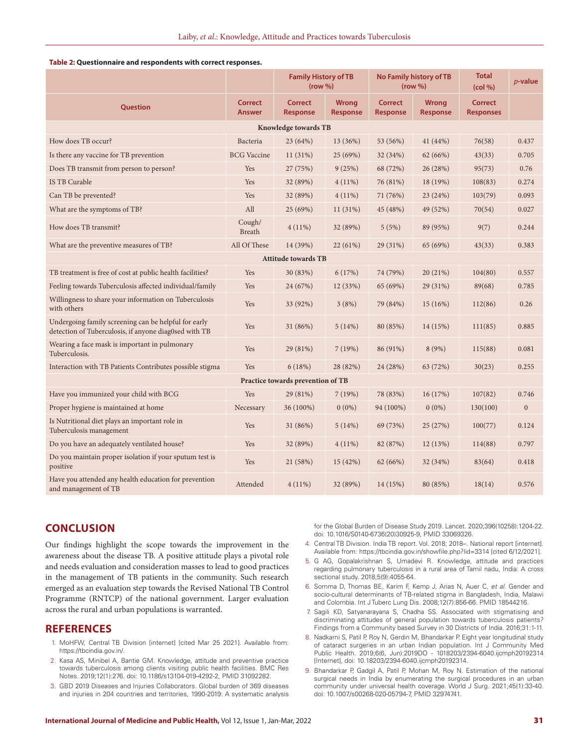#### **Table 2: Questionnaire and respondents with correct responses.**

|                                                                                                               |                                 | <b>Family History of TB</b><br>(row %) |                                 | <b>No Family history of TB</b><br>(row %) |                                 | <b>Total</b><br>(col %)            | <i>p</i> -value |  |  |  |  |  |  |  |
|---------------------------------------------------------------------------------------------------------------|---------------------------------|----------------------------------------|---------------------------------|-------------------------------------------|---------------------------------|------------------------------------|-----------------|--|--|--|--|--|--|--|
| <b>Ouestion</b>                                                                                               | <b>Correct</b><br><b>Answer</b> | <b>Correct</b><br><b>Response</b>      | <b>Wrong</b><br><b>Response</b> | <b>Correct</b><br><b>Response</b>         | <b>Wrong</b><br><b>Response</b> | <b>Correct</b><br><b>Responses</b> |                 |  |  |  |  |  |  |  |
| <b>Knowledge towards TB</b>                                                                                   |                                 |                                        |                                 |                                           |                                 |                                    |                 |  |  |  |  |  |  |  |
| How does TB occur?                                                                                            | Bacteria                        | 23 (64%)                               | 13 (36%)                        | 53 (56%)                                  | 41 (44%)                        | 76(58)                             | 0.437           |  |  |  |  |  |  |  |
| Is there any vaccine for TB prevention                                                                        | <b>BCG</b> Vaccine              | 11(31%)                                | 25 (69%)                        | 32 (34%)                                  | 62(66%)                         | 43(33)                             | 0.705           |  |  |  |  |  |  |  |
| Does TB transmit from person to person?                                                                       | Yes                             | 27 (75%)                               | 9(25%)                          | 68 (72%)                                  | 26(28%)                         | 95(73)                             | 0.76            |  |  |  |  |  |  |  |
| <b>IS TB Curable</b>                                                                                          | Yes                             | 32 (89%)                               | $4(11\%)$                       | 76 (81%)                                  | 18 (19%)                        | 108(83)                            | 0.274           |  |  |  |  |  |  |  |
| Can TB be prevented?                                                                                          | Yes                             | 32 (89%)                               | $4(11\%)$                       | 71 (76%)                                  | 23 (24%)                        | 103(79)                            | 0.093           |  |  |  |  |  |  |  |
| What are the symptoms of TB?                                                                                  | All                             | 25 (69%)                               | 11(31%)                         | 45 (48%)                                  | 49 (52%)                        | 70(54)                             | 0.027           |  |  |  |  |  |  |  |
| How does TB transmit?                                                                                         | Cough/<br><b>Breath</b>         | $4(11\%)$                              | 32 (89%)                        | 5(5%)                                     | 89 (95%)                        | 9(7)                               | 0.244           |  |  |  |  |  |  |  |
| What are the preventive measures of TB?                                                                       | All Of These                    | 14 (39%)                               | 22(61%)                         | 29 (31%)                                  | 65 (69%)                        | 43(33)                             | 0.383           |  |  |  |  |  |  |  |
|                                                                                                               |                                 | <b>Attitude towards TB</b>             |                                 |                                           |                                 |                                    |                 |  |  |  |  |  |  |  |
| TB treatment is free of cost at public health facilities?                                                     | Yes                             | 30 (83%)                               | 6(17%)                          | 74 (79%)                                  | 20(21%)                         | 104(80)                            | 0.557           |  |  |  |  |  |  |  |
| Feeling towards Tuberculosis affected individual/family                                                       | Yes                             | 24 (67%)                               | 12 (33%)                        | 65 (69%)                                  | 29 (31%)                        | 89(68)                             | 0.785           |  |  |  |  |  |  |  |
| Willingness to share your information on Tuberculosis<br>with others                                          | Yes                             | 33 (92%)                               | 3(8%)                           | 79 (84%)                                  | 15(16%)                         | 112(86)                            | 0.26            |  |  |  |  |  |  |  |
| Undergoing family screening can be helpful for early<br>detection of Tuberculosis, if anyone diag0sed with TB | Yes                             | 31 (86%)                               | 5(14%)                          | 80 (85%)                                  | 14 (15%)                        | 111(85)                            | 0.885           |  |  |  |  |  |  |  |
| Wearing a face mask is important in pulmonary<br>Tuberculosis.                                                | Yes                             | 29 (81%)                               | 7(19%)                          | 86 (91%)                                  | 8 (9%)                          | 115(88)                            | 0.081           |  |  |  |  |  |  |  |
| Interaction with TB Patients Contributes possible stigma                                                      | Yes                             | 6(18%)                                 | 28 (82%)                        | 24 (28%)                                  | 63 (72%)                        | 30(23)                             | 0.255           |  |  |  |  |  |  |  |
| Practice towards prevention of TB                                                                             |                                 |                                        |                                 |                                           |                                 |                                    |                 |  |  |  |  |  |  |  |
| Have you immunized your child with BCG                                                                        | Yes                             | 29 (81%)                               | 7(19%)                          | 78 (83%)                                  | 16 (17%)                        | 107(82)                            | 0.746           |  |  |  |  |  |  |  |
| Proper hygiene is maintained at home                                                                          | Necessary                       | 36 (100%)                              | $0(0\%)$                        | 94 (100%)                                 | $0(0\%)$                        | 130(100)                           | $\mathbf{0}$    |  |  |  |  |  |  |  |
| Is Nutritional diet plays an important role in<br>Tuberculosis management                                     | Yes                             | 31 (86%)                               | 5(14%)                          | 69 (73%)                                  | 25(27%)                         | 100(77)                            | 0.124           |  |  |  |  |  |  |  |
| Do you have an adequately ventilated house?                                                                   | Yes                             | 32 (89%)                               | $4(11\%)$                       | 82 (87%)                                  | 12 (13%)                        | 114(88)                            | 0.797           |  |  |  |  |  |  |  |
| Do you maintain proper isolation if your sputum test is<br>positive                                           | Yes                             | 21 (58%)                               | 15(42%)                         | 62 (66%)                                  | 32 (34%)                        | 83(64)                             | 0.418           |  |  |  |  |  |  |  |
| Have you attended any health education for prevention<br>and management of TB                                 | Attended                        | $4(11\%)$                              | 32 (89%)                        | 14 (15%)                                  | 80 (85%)                        | 18(14)                             | 0.576           |  |  |  |  |  |  |  |

# **CONCLUSION**

Our findings highlight the scope towards the improvement in the awareness about the disease TB. A positive attitude plays a pivotal role and needs evaluation and consideration masses to lead to good practices in the management of TB patients in the community. Such research emerged as an evaluation step towards the Revised National TB Control Programme (RNTCP) of the national government. Larger evaluation across the rural and urban populations is warranted.

## **REFERENCES**

- 1. MoHFW, Central TB Division [internet] [cited Mar 25 2021]. Available from: https://tbcindia.gov.in/.
- 2. Kasa AS, Minibel A, Bantie GM. Knowledge, attitude and preventive practice towards tuberculosis among clients visiting public health facilities. BMC Res Notes. 2019;12(1):276. doi: 10.1186/s13104-019-4292-2, PMID 31092282.
- 3. GBD 2019 Diseases and Injuries Collaborators. Global burden of 369 diseases and injuries in 204 countries and territories, 1990-2019: A systematic analysis

for the Global Burden of Disease Study 2019. Lancet. 2020;396(10258):1204-22. doi: 10.1016/S0140-6736(20)30925-9, PMID 33069326.

- 4. Central TB Division. India TB report. Vol. 2018; 2018–. National report [internet]. Available from: https://tbcindia.gov.in/showfile.php?lid=3314 [cited 6/12/2021].
- 5. G AG, Gopalakrishnan S, Umadevi R. Knowledge, attitude and practices regarding pulmonary tuberculosis in a rural area of Tamil nadu, India: A cross sectional study. 2018;5(9):4055-64.
- 6. Somma D, Thomas BE, Karim F, Kemp J, Arias N, Auer C, *et al*. Gender and socio-cultural determinants of TB-related stigma in Bangladesh, India, Malawi and Colombia. Int J Tuberc Lung Dis. 2008;12(7):856-66. PMID 18544216.
- 7. Sagili KD, Satyanarayana S, Chadha SS. Associated with stigmatising and discriminating attitudes of general population towards tuberculosis patients? Findings from a Community based Survey in 30 Districts of India. 2016;31:1-11.
- 8. Nadkarni S, Patil P, Roy N, Gerdin M, Bhandarkar P. Eight year longitudinal study of cataract surgeries in an urban Indian population. Int J Community Med Public Health. 2019;6(6, Jun):2019DO - 1018203/2394-6040.ijcmph20192314 [Internet], doi: 10.18203/2394-6040.ijcmph20192314.
- 9. Bhandarkar P, Gadgil A, Patil P, Mohan M, Roy N. Estimation of the national surgical needs in India by enumerating the surgical procedures in an urban community under universal health coverage. World J Surg. 2021;45(1):33-40. doi: 10.1007/s00268-020-05794-7, PMID 32974741.